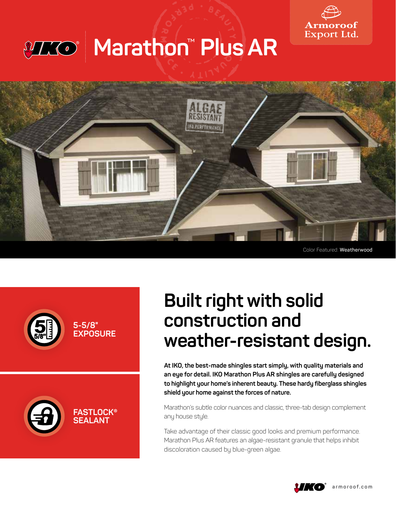

## A  $\sum_{i=1}^n$ X 1174 0 **Marathon**™ **Plus AR**



Color Featured: **Weatherwood**





## **Built right with solid construction and weather-resistant design.**

**At IKO, the best-made shingles start simply, with quality materials and an eye for detail. IKO Marathon Plus AR shingles are carefully designed to highlight your home's inherent beauty. These hardy fiberglass shingles shield your home against the forces of nature.** 

Marathon's subtle color nuances and classic, three-tab design complement any house style.

Take advantage of their classic good looks and premium performance. Marathon Plus AR features an algae-resistant granule that helps inhibit discoloration caused by blue-green algae.